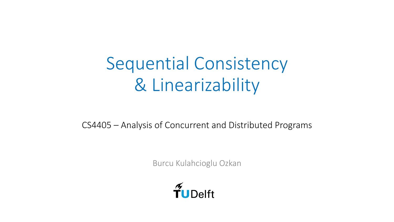# Sequential Consistency & Linearizability

CS4405 – Analysis of Concurrent and Distributed Programs

Burcu Kulahcioglu Ozkan

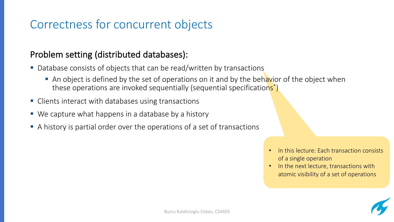## Correctness for concurrent objects

#### Problem setting (distributed databases):

- Database consists of objects that can be read/written by transactions
	- An object is defined by the set of operations on it and by the behavior of the object when these operations are invoked sequentially (sequential specifications<sup>\*</sup>)
- Clients interact with databases using transactions
- We capture what happens in a database by a history
- A history is partial order over the operations of a set of transactions
- In this lecture: Each transaction consists of a single operation
- In the next lecture, transactions with atomic visibility of a set of operations

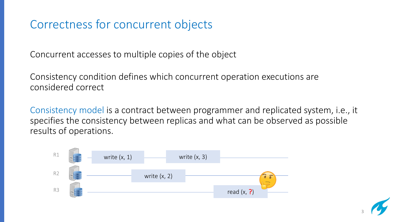## Correctness for concurrent objects

Concurrent accesses to multiple copies of the object

Consistency condition defines which concurrent operation executions are considered correct

Consistency model is a contract between programmer and replicated system, i.e., it specifies the consistency between replicas and what can be observed as possible results of operations.



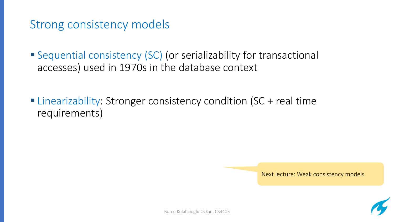#### Strong consistency models

■ Sequential consistency (SC) (or serializability for transactional accesses) used in 1970s in the database context

■ Linearizability: Stronger consistency condition (SC + real time requirements)

Next lecture: Weak consistency models

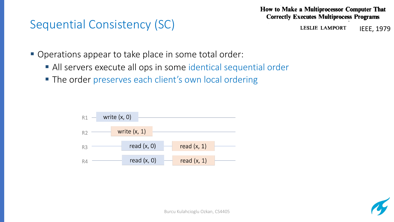#### Sequential Consistency (SC)

How to Make a Multiprocessor Computer That **Correctly Executes Multiprocess Programs** 

> **LESLIE LAMPORT** IEEE, 1979

- Operations appear to take place in some total order:
	- All servers execute all ops in some identical sequential order
	- The order preserves each client's own local ordering



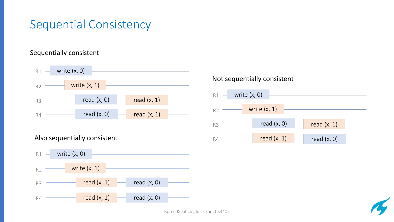## Sequential Consistency

#### Sequentially consistent



#### Also sequentially consistent



#### Not sequentially consistent





Burcu Kulahcioglu Ozkan, CS4405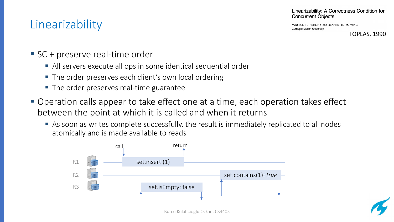## Linearizability

Linearizability: A Correctness Condition for **Concurrent Objects** 

MAURICE P. HERLIHY and JEANNETTE M. WING Carnegie Mellon University

TOPLAS, 1990

- SC + preserve real-time order
	- All servers execute all ops in some identical sequential order
	- The order preserves each client's own local ordering
	- The order preserves real-time guarantee
- Operation calls appear to take effect one at a time, each operation takes effect between the point at which it is called and when it returns
	- As soon as writes complete successfully, the result is immediately replicated to all nodes atomically and is made available to reads



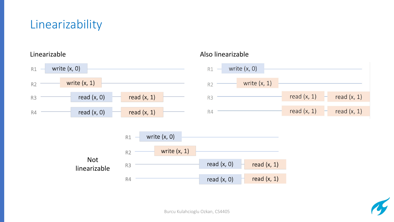## Linearizability



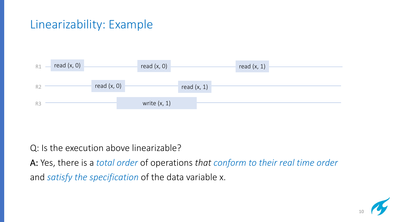## Linearizability: Example



Q: Is the execution above linearizable?

A: Yes, there is a *total order* of operations *that conform to their real time order* and *satisfy the specification* of the data variable x.

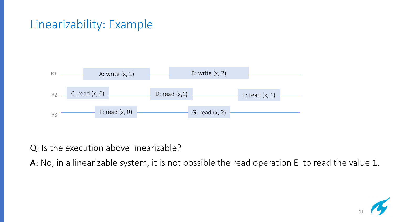#### Linearizability: Example



Q: Is the execution above linearizable?

A: No, in a linearizable system, it is not possible the read operation E to read the value 1.

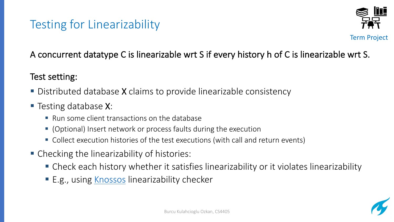## Testing for Linearizability

#### A concurrent datatype C is linearizable wrt S if every hist

#### Test setting:

- Distributed database X claims to provide linearizable constants
- Testing database X:
	- Run some client transactions on the database
	- (Optional) Insert network or process faults during the execut
	- Collect execution histories of the test executions (with call and
- Checking the linearizability of histories:
	- Check each history whether it satisfies linearizabilit
	- E.g., using Knossos linearizability checker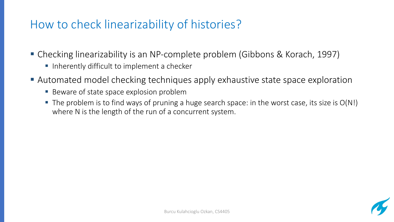## How to check linearizability of histories?

- § Checking linearizability is an NP-complete problem (Gibbons & Korach, 1997)
	- Inherently difficult to implement a checker
- Automated model checking techniques apply exhaustive state space exploration
	- Beware of state space explosion problem
	- $\blacksquare$  The problem is to find ways of pruning a huge search space: in the worst case, its size is  $O(N!)$ where N is the length of the run of a concurrent system.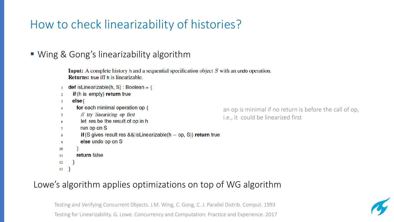## How to check linearizability of histories?

#### ■ Wing & Gong's linearizability algorithm

**Input:** A complete history h and a sequential specification object S with an undo operation. **Returns:** true iff h is linearizable.

- **def** is Linearizable(h, S) : Boolean = {  $\mathbf{1}$
- **if**(h is empty) return true  $\overline{2}$
- $else{$  $\overline{3}$
- for each minimal operation op  $\{$  $\boldsymbol{\Lambda}$
- // try linearizing op first  $\sim$
- let res be the result of op in h 6
- run op on S  $\tau$
- if (S gives result res && is Linearizable  $(h op, S)$ ) return true 8
- else undo op on S  $\boldsymbol{9}$
- 10
- return false  $11$
- 12
- 13

#### Lowe's algorithm applies optimizations on top of WG algorithm

Testing and Verifying Concurrent Objects. J.M. Wing, C. Gong, C. J. Parallel Distrib. Comput. 1993 Testing for Linearizability. G. Lowe. Concurrency and Computation: Practice and Experience. 2017

an op is minimal if no return is before the call of op, i.e., it could be linearized first

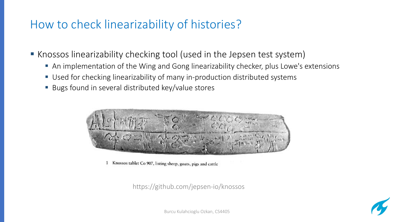### How to check linearizability of histories?

■ Knossos linearizability checking tool (used in the Jepsen test system)

- An implementation of the Wing and Gong linearizability checker, plus Lowe's extensions
- Used for checking linearizability of many in-production distributed systems
- Bugs found in several distributed key/value stores



Knossos tablet Co 907, listing sheep, goats, pigs and cattle

https://github.com/jepsen-io/knossos



Burcu Kulahcioglu Ozkan, CS4405